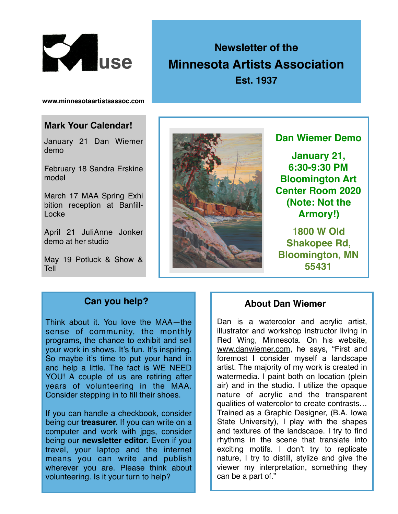

# **Newsletter of the Minnesota Artists Association Est. 1937**

**www.minnesotaartistsassoc.com**

#### **Mark Your Calendar!**

January 21 Dan Wiemer demo

February 18 Sandra Erskine model

March 17 MAA Spring Exhi bition reception at Banfill-Locke

April 21 JuliAnne Jonker demo at her studio

May 19 Potluck & Show & Tell



**Dan Wiemer Demo**

**January 21, 6:30-9:30 PM Bloomington Art Center Room 2020 (Note: Not the Armory!)**

1**800 W Old Shakopee Rd, Bloomington, MN 55431**

## **Can you help?**

Think about it. You love the MAA—the sense of community, the monthly programs, the chance to exhibit and sell your work in shows. It's fun. It's inspiring. So maybe it's time to put your hand in and help a little. The fact is WE NEED YOU! A couple of us are retiring after years of volunteering in the MAA. Consider stepping in to fill their shoes.

If you can handle a checkbook, consider being our **treasurer.** If you can write on a computer and work with jpgs, consider being our **newsletter editor.** Even if you travel, your laptop and the internet means you can write and publish wherever you are. Please think about volunteering. Is it your turn to help?

#### **About Dan Wiemer**

Dan is a watercolor and acrylic artist, illustrator and workshop instructor living in Red Wing, Minnesota. On his website, [www.danwiemer.com,](http://www.danwiemer.com) he says, "First and foremost I consider myself a landscape artist. The majority of my work is created in watermedia. I paint both on location (plein air) and in the studio. I utilize the opaque nature of acrylic and the transparent qualities of watercolor to create contrasts… Trained as a Graphic Designer, (B.A. Iowa State University), I play with the shapes and textures of the landscape. I try to find rhythms in the scene that translate into exciting motifs. I don't try to replicate nature, I try to distill, stylize and give the viewer my interpretation, something they can be a part of."